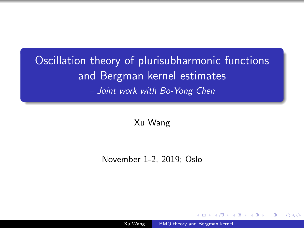# <span id="page-0-0"></span>Oscillation theory of plurisubharmonic functions and Bergman kernel estimates – Joint work with Bo-Yong Chen

Xu Wang

November 1-2, 2019; Oslo

Xu Wang [BMO theory and Bergman kernel](#page-26-0)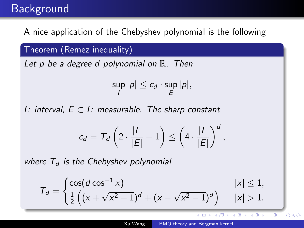## Background

A nice application of the Chebyshev polynomial is the following

Theorem (Remez inequality)

Let p be a degree d polynomial on  $\mathbb{R}$ . Then

$$
\sup_I |p| \leq c_d \cdot \sup_E |p|,
$$

I: interval,  $E ⊂ I$ : measurable. The sharp constant

$$
c_d = T_d \left( 2 \cdot \frac{|I|}{|E|} - 1 \right) \leq \left( 4 \cdot \frac{|I|}{|E|} \right)^d,
$$

where  $T<sub>d</sub>$  is the Chebyshev polynomial

$$
\mathcal{T}_d = \begin{cases} \cos(d \cos^{-1} x) & |x| \le 1, \\ \frac{1}{2} \left( (x + \sqrt{x^2 - 1})^d + (x - \sqrt{x^2 - 1})^d \right) & |x| > 1. \end{cases}
$$

イロメ イ母メ イヨメ イヨメ

B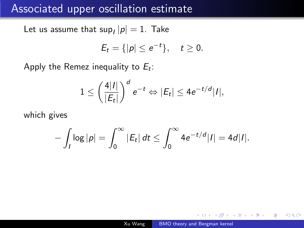### Associated upper oscillation estimate

Let us assume that  $\sup_I |p| = 1$ . Take

$$
E_t = \{|p| \le e^{-t}\}, \quad t \ge 0.
$$

Apply the Remez inequality to  $E_t$ :

$$
1 \leq \left(\frac{4|I|}{|E_t|}\right)^d e^{-t} \Leftrightarrow |E_t| \leq 4e^{-t/d}|I|,
$$

which gives

$$
-\int_I \log |p| = \int_0^\infty |E_t| \, dt \le \int_0^\infty 4e^{-t/d} |I| = 4d|I|.
$$

 $QQ$ 

化重复 化重变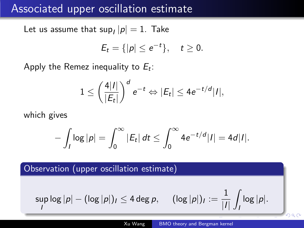### Associated upper oscillation estimate

Let us assume that  $\sup_I |p| = 1$ . Take

$$
E_t = \{|p| \le e^{-t}\}, \quad t \ge 0.
$$

Apply the Remez inequality to  $E_t$ :

$$
1 \leq \left(\frac{4|I|}{|E_t|}\right)^d e^{-t} \Leftrightarrow |E_t| \leq 4e^{-t/d}|I|,
$$

which gives

$$
-\int_I \log |p| = \int_0^\infty |E_t| \, dt \le \int_0^\infty 4 e^{-t/d} |I| = 4d|I|.
$$

Observation (upper oscillation estimate)

$$
\sup_I \log |p| - (\log |p|)_I \le 4 \deg p, \quad (\log |p|)_I := \frac{1}{|I|} \int_I \log |p|.
$$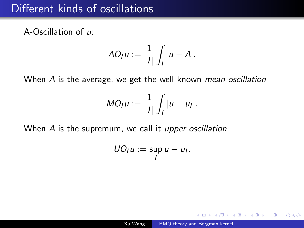# Different kinds of oscillations

A-Oscillation of u:

$$
AO_I u := \frac{1}{|I|} \int_I |u - A|.
$$

When A is the average, we get the well known mean oscillation

$$
MO_I u := \frac{1}{|I|} \int_I |u - u_I|.
$$

When A is the supremum, we call it upper oscillation

$$
UO_I u := \sup_I u - u_I.
$$

 $\Omega$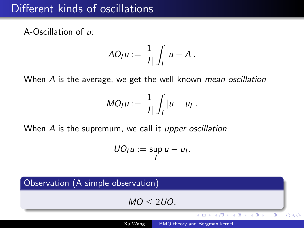# Different kinds of oscillations

A-Oscillation of u:

$$
AO_I u := \frac{1}{|I|} \int_I |u - A|.
$$

When A is the average, we get the well known mean oscillation

$$
MO_I u := \frac{1}{|I|} \int_I |u - u_I|.
$$

When A is the supremum, we call it upper oscillation

$$
UO_I u := \sup_I u - u_I.
$$

Observation (A simple observation)  $MO < 2UO$ . イロメ イ何メ イヨメ イヨメ Þ  $QQ$ Xu Wang [BMO theory and Bergman kernel](#page-0-0)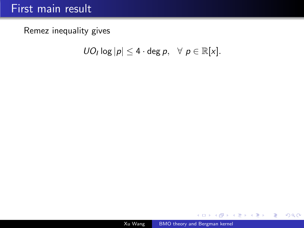# First main result

Remez inequality gives

 $U O_I \log |p| \leq 4 \cdot \deg p, \ \ \forall \ p \in \mathbb{R}[x].$ 

メロメメ 御 メメ きょく ミメー

目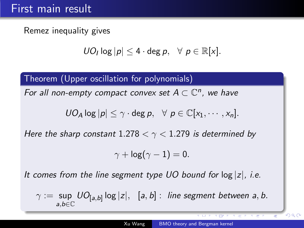# First main result

Remez inequality gives

$$
U O_I \log |p| \leq 4 \cdot \deg p, \ \ \forall \ p \in \mathbb{R}[x].
$$

Theorem (Upper oscillation for polynomials)

For all non-empty compact convex set  $A \subset \mathbb{C}^n$ , we have

$$
UO_A \log |p| \leq \gamma \cdot \deg p, \ \ \forall \ p \in \mathbb{C}[x_1, \cdots, x_n].
$$

Here the sharp constant 1.278  $< \gamma < 1.279$  is determined by

$$
\gamma + \log(\gamma - 1) = 0.
$$

It comes from the line segment type UO bound for  $log |z|$ , i.e.

$$
\gamma := \sup_{a,b \in \mathbb{C}} U O_{[a,b]} \log |z|, \ \ [a,b]: \ \textit{line segment between $a$, $b$.}
$$

 $QQ$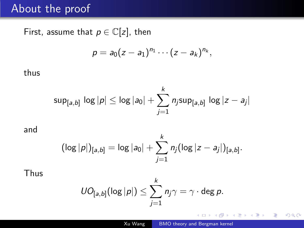### About the proof

First, assume that  $p \in \mathbb{C}[z]$ , then

$$
p=a_0(z-a_1)^{n_1}\cdots(z-a_k)^{n_k},
$$

### thus

$$
\mathsf{sup}_{[a,b]}\, \log |p| \leq \log |a_0| + \sum_{j=1}^k n_j \mathsf{sup}_{[a,b]}\, \log |z - a_j|
$$

and

$$
(\log |p|)_{[a,b]} = \log |a_0| + \sum_{j=1}^k n_j (\log |z - a_j|)_{[a,b]}.
$$

Thus

$$
\textit{UO}_{[a,b]}(\log|p|)\leq \sum_{j=1}^k n_j\gamma=\gamma\cdot\deg p.
$$

4日下

する \*すき \* キヨ

E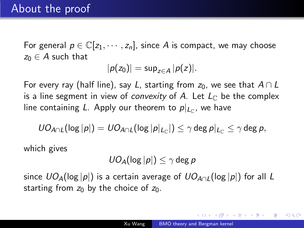For general  $p \in \mathbb{C}[z_1, \cdots, z_n]$ , since A is compact, we may choose  $z_0 \in A$  such that

$$
|p(z_0)|=\sup_{z\in A}|p(z)|.
$$

For every ray (half line), say L, starting from  $z_0$ , we see that  $A \cap L$ is a line segment in view of *convexity* of A. Let  $L_{\mathbb{C}}$  be the complex line containing L. Apply our theorem to  $p|_{L_{\mathbb C}}$ , we have

$$
\textit{UO}_{A\cap L}(\log|p|)=\textit{UO}_{A\cap L}(\log|p|_{L_{\mathbb C}}|)\leq \gamma\deg p|_{L_{\mathbb C}}\leq \gamma\deg p,
$$

which gives

$$
U O_A(\log |p|) \leq \gamma \deg p
$$

since  $UO_{A}(\log |p|)$  is a certain average of  $UO_{A \cap I}(\log |p|)$  for all L starting from  $z_0$  by the choice of  $z_0$ .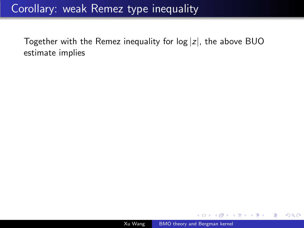# Corollary: weak Remez type inequality

Together with the Remez inequality for  $log |z|$ , the above BUO estimate implies

 $\overline{a}$ 

┌何 ▶ ( ( 三 ) ( ( 三 )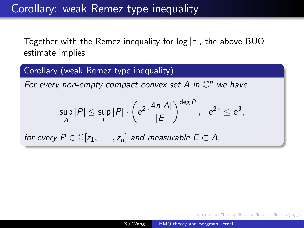Corollary: weak Remez type inequality

Together with the Remez inequality for  $log |z|$ , the above BUO estimate implies

Corollary (weak Remez type inequality)

For every non-empty compact convex set  $A$  in  $\mathbb{C}^n$  we have

$$
\sup_{A} |P| \leq \sup_{E} |P| \cdot \left(e^{2\gamma} \frac{4n|A|}{|E|}\right)^{\deg P}, \quad e^{2\gamma} \leq e^3,
$$

for every  $P \in \mathbb{C}[z_1, \dots, z_n]$  and measurable  $E \subset A$ .

医阿里氏阿里氏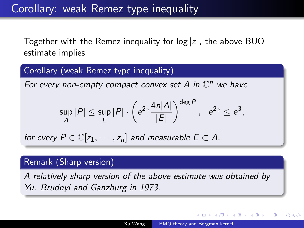Together with the Remez inequality for  $log |z|$ , the above BUO estimate implies

Corollary (weak Remez type inequality)

For every non-empty compact convex set  $A$  in  $\mathbb{C}^n$  we have

$$
\sup_{A} |P| \leq \sup_{E} |P| \cdot \left(e^{2\gamma} \frac{4n|A|}{|E|}\right)^{\deg P}, \quad e^{2\gamma} \leq e^3,
$$

for every  $P \in \mathbb{C}[z_1, \dots, z_n]$  and measurable  $E \subset A$ .

#### Remark (Sharp version)

A relatively sharp version of the above estimate was obtained by Yu. Brudnyi and Ganzburg in 1973.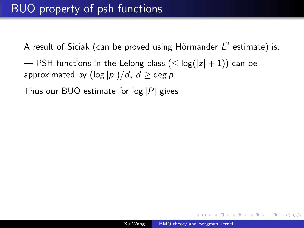A result of Siciak (can be proved using Hörmander  $L^2$  estimate) is:

— PSH functions in the Lelong class ( $\leq$  log( $|z|$  + 1)) can be approximated by  $(\log |p|)/d$ ,  $d \ge \deg p$ .

Thus our BUO estimate for  $log |P|$  gives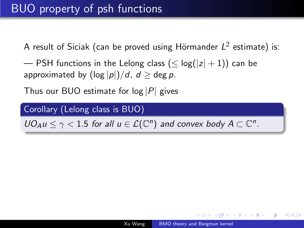A result of Siciak (can be proved using Hörmander  $L^2$  estimate) is:

— PSH functions in the Lelong class ( $\leq$  log( $|z|$  + 1)) can be approximated by  $(\log |p|)/d$ ,  $d \ge \deg p$ .

Thus our BUO estimate for  $log |P|$  gives

Corollary (Lelong class is BUO)

 $UO_A u \leq \gamma < 1.5$  for all  $u \in \mathcal{L}(\mathbb{C}^n)$  and convex body  $A \subset \mathbb{C}^n$ .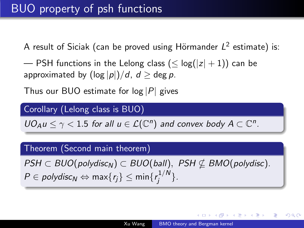A result of Siciak (can be proved using Hörmander  $L^2$  estimate) is:

— PSH functions in the Lelong class ( $\leq$  log( $|z|$  + 1)) can be approximated by  $(\log |p|)/d$ ,  $d \ge \deg p$ .

Thus our BUO estimate for  $log |P|$  gives

#### Corollary (Lelong class is BUO)

 $UO_A u \leq \gamma < 1.5$  for all  $u \in \mathcal{L}(\mathbb{C}^n)$  and convex body  $A \subset \mathbb{C}^n$ .

#### Theorem (Second main theorem)

 $PSH \subset BUC(polydisc<sub>N</sub>) \subset BUC(ball), PSH \nsubseteq BMO(polydisc).$  $P \in \mathit{polydisc}_N \Leftrightarrow \mathsf{max}\{r_j\} \leq \mathsf{min}\{r_j^{1/N}\}$  $\left\{j^{1/N}\right\}.$ 

す 白 キ す き き す 重 ト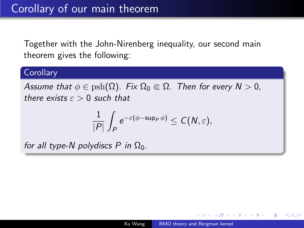Together with the John-Nirenberg inequality, our second main theorem gives the following:

### **Corollary**

Assume that  $\phi \in \text{psh}(\Omega)$ . Fix  $\Omega_0 \Subset \Omega$ . Then for every  $N > 0$ , there exists  $\epsilon > 0$  such that

$$
\frac{1}{|P|}\int_{P} e^{-\varepsilon(\phi-\mathsf{sup}_{P}\,\phi)}\leq \mathcal{C}(\mathcal{N},\varepsilon),
$$

for all type-N polydiscs P in  $\Omega_0$ .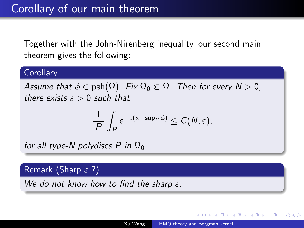Together with the John-Nirenberg inequality, our second main theorem gives the following:

### **Corollary**

Assume that  $\phi \in \text{psh}(\Omega)$ . Fix  $\Omega_0 \Subset \Omega$ . Then for every  $N > 0$ . there exists  $\epsilon > 0$  such that

$$
\frac{1}{|P|}\int_{P} e^{-\varepsilon(\phi-\mathsf{sup}_{P}\,\phi)}\leq \mathcal{C}(\mathcal{N},\varepsilon),
$$

for all type-N polydiscs P in  $\Omega_0$ .

#### Remark (Sharp  $\varepsilon$  ?)

We do not know how to find the sharp  $\varepsilon$ .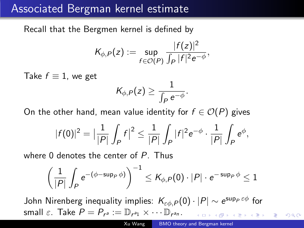# Associated Bergman kernel estimate

Recall that the Bergmen kernel is defined by

$$
K_{\phi,P}(z) := \sup_{f \in \mathcal{O}(P)} \frac{|f(z)|^2}{\int_P |f|^2 e^{-\phi}},
$$

Take  $f \equiv 1$ , we get

On the other hand, mean value identity for  $f \in \mathcal{O}(P)$  gives

 $K_{\phi,P}(z) \geq \frac{1}{\sqrt{1-z}}$ 

$$
|f(0)|^2 = \left|\frac{1}{|P|}\int_P f\right|^2 \leq \frac{1}{|P|}\int_P |f|^2 e^{-\phi} \cdot \frac{1}{|P|}\int_P e^{\phi},
$$

where 0 denotes the center of P. Thus

$$
\left(\frac{1}{|P|}\int_{P}e^{-(\phi-\sup_{P}\phi)}\right)^{-1}\leq K_{\phi,P}(0)\cdot |P|\cdot e^{-\sup_{P}\phi}\leq 1
$$

John Nirenberg inequality implies:  $\mathcal{K}_{\varepsilon\phi, P}(0)\cdot |P|\sim e^{\sup_P\varepsilon\phi}$  for small  $\varepsilon$ . Take  $P = P_{r^a} := \mathbb{D}_{r^{a_1}} \times \cdots \mathbb{D}_{r^{a_n}}$ .

 $200$ 

 $\frac{1}{\int_P e^{-\phi}}$ .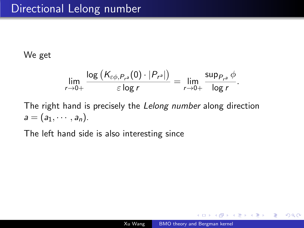We get

$$
\lim_{r\to 0+}\frac{\log (K_{\varepsilon\phi,P_{r^a}}(0)\cdot|P_{r^a}|)}{\varepsilon\log r}=\lim_{r\to 0+}\frac{\sup_{P_{r^a}}\phi}{\log r}.
$$

The right hand is precisely the Lelong number along direction  $a = (a_1, \cdots, a_n).$ 

The left hand side is also interesting since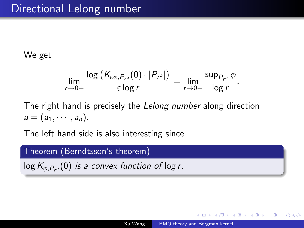### We get

$$
\lim_{r\to 0+}\frac{\log (K_{\varepsilon\phi,P_{r^a}}(0)\cdot|P_{r^a}|)}{\varepsilon\log r}=\lim_{r\to 0+}\frac{\sup_{P_{r^a}}\phi}{\log r}.
$$

The right hand is precisely the Lelong number along direction  $a = (a_1, \cdots, a_n).$ 

The left hand side is also interesting since

#### Theorem (Berndtsson's theorem)

 $\log K_{\phi, P_{r^a}}(0)$  is a convex function of  $\log r$ .

 $\mathbb{R}^n \times \mathbb{R}^n \xrightarrow{\sim} \mathbb{R}^n \times \mathbb{R}^n \xrightarrow{\sim} \mathbb{R}^n$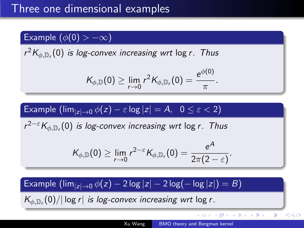### Example  $(\phi(0) > -\infty)$

 $r^2 K_{\phi, \mathbb{D}_r}(0)$  is log-convex increasing wrt log r. Thus

$$
\mathcal{K}_{\phi,\mathbb{D}}(0) \geq \lim_{r \to 0} r^2 \mathcal{K}_{\phi,\mathbb{D}_r}(0) = \frac{e^{\phi(0)}}{\pi}.
$$

### Example  $(\lim_{|z|\to 0} \phi(z) - \varepsilon \log |z| = A, \quad 0 \leq \varepsilon < 2)$

 $r^{2-\varepsilon} K_{\phi, \mathbb{D}_r}(0)$  is log-convex increasing wrt log r. Thus

$$
\mathcal{K}_{\phi,\mathbb{D}}(0)\geq \lim_{r\to 0} r^{2-\varepsilon} \mathcal{K}_{\phi,\mathbb{D}_r}(0)=\frac{e^A}{2\pi(2-\varepsilon)}.
$$

### Example  $(\lim_{|z|\to 0} \phi(z) - 2 \log|z| - 2 \log(-\log|z|) = B)$

 $\left| K_{\phi, \mathbb{D}_r}(0) / \right| \log r |$  is log-convex increasing wrt log r.

イロメ イ何メ イヨメ イヨメー

E

 $QQ$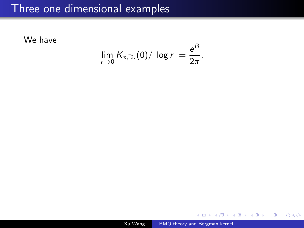### Three one dimensional examples

We have

$$
\lim_{r\to 0}K_{\phi,\mathbb{D}_r}(0)/|\log r|=\frac{e^B}{2\pi}.
$$

4日)

有  $\rightarrow$ 一 一 三 E

Ε  $\rightarrow$ 

**II**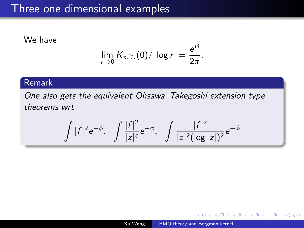### Three one dimensional examples

We have

$$
\lim_{r\to 0}K_{\phi,\mathbb{D}_r}(0)/|\log r|=\frac{e^B}{2\pi}.
$$

### Remark

One also gets the equivalent Ohsawa–Takegoshi extension type theorems wrt

$$
\int |f|^2 e^{-\phi}, \quad \int \frac{|f|^2}{|z|^{\varepsilon}} e^{-\phi}, \quad \int \frac{|f|^2}{|z|^2 (\log |z|)^2} e^{-\phi}
$$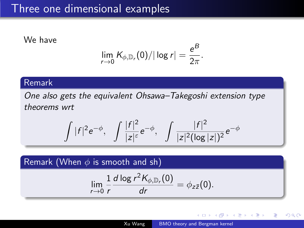### Three one dimensional examples

We have

$$
\lim_{r\to 0}K_{\phi,\mathbb{D}_r}(0)/|\log r|=\frac{e^B}{2\pi}.
$$

#### Remark

One also gets the equivalent Ohsawa–Takegoshi extension type theorems wrt

$$
\int |f|^2 e^{-\phi}, \quad \int \frac{|f|^2}{|z|^{\varepsilon}} e^{-\phi}, \quad \int \frac{|f|^2}{|z|^2 (\log |z|)^2} e^{-\phi}
$$

Remark (When  $\phi$  is smooth and sh)

$$
\lim_{r\to 0}\frac{1}{r}\frac{d\log r^2K_{\phi,\mathbb{D}_r}(0)}{dr}=\phi_{z\bar{z}}(0).
$$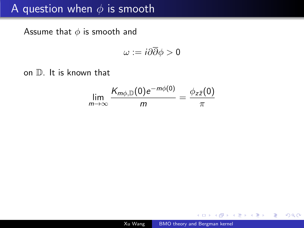# A question when  $\phi$  is smooth

Assume that  $\phi$  is smooth and

$$
\omega := i\partial\overline{\partial}\phi > 0
$$

on D. It is known that

$$
\lim_{m\to\infty}\frac{K_{m\phi,\mathbb{D}}(0)e^{-m\phi(0)}}{m}=\frac{\phi_{z\bar{z}}(0)}{\pi}
$$

4 17 18

④ 三 下

ヨト э